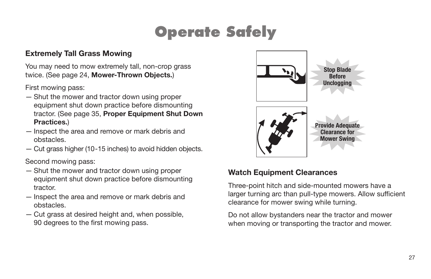### **Extremely Tall Grass Mowing**

You may need to mow extremely tall, non-crop grass twice. (See page 24, **Mower-Thrown Objects.**)

First mowing pass:

- Shut the mower and tractor down using proper equipment shut down practice before dismounting tractor. (See page 35, **Proper Equipment Shut Down Practices.**)
- Inspect the area and remove or mark debris and obstacles.
- Cut grass higher (10-15 inches) to avoid hidden objects.

Second mowing pass:

- Shut the mower and tractor down using proper equipment shut down practice before dismounting tractor.
- Inspect the area and remove or mark debris and obstacles.
- Cut grass at desired height and, when possible, 90 degrees to the first mowing pass.



### **Watch Equipment Clearances**

Three-point hitch and side-mounted mowers have a larger turning arc than pull-type mowers. Allow sufficient clearance for mower swing while turning.

Do not allow bystanders near the tractor and mower when moving or transporting the tractor and mower.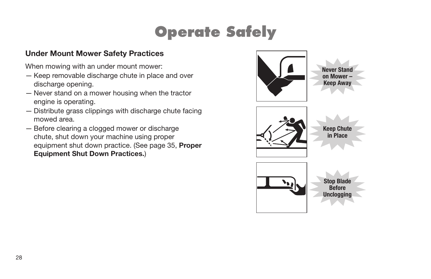#### **Under Mount Mower Safety Practices**

When mowing with an under mount mower:

- Keep removable discharge chute in place and over discharge opening.
- Never stand on a mower housing when the tractor engine is operating.
- Distribute grass clippings with discharge chute facing mowed area.
- Before clearing a clogged mower or discharge chute, shut down your machine using proper equipment shut down practice. (See page 35, **Proper Equipment Shut Down Practices.**)

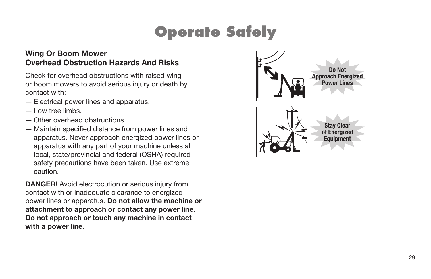#### **Wing Or Boom Mower Overhead Obstruction Hazards And Risks**

Check for overhead obstructions with raised wing or boom mowers to avoid serious injury or death by contact with:

- Electrical power lines and apparatus.
- Low tree limbs.
- Other overhead obstructions.
- $-$  Maintain specified distance from power lines and apparatus. Never approach energized power lines or apparatus with any part of your machine unless all local, state/provincial and federal (OSHA) required safety precautions have been taken. Use extreme caution.

**DANGER!** Avoid electrocution or serious injury from contact with or inadequate clearance to energized power lines or apparatus. **Do not allow the machine or attachment to approach or contact any power line. Do not approach or touch any machine in contact with a power line.**